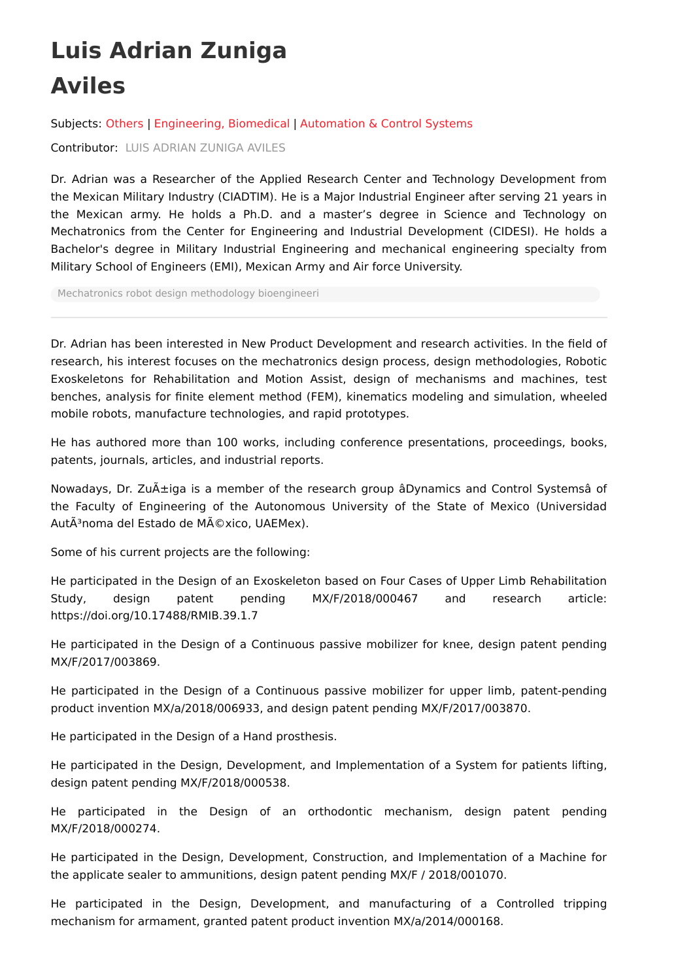## **Luis Adrian Zuniga Aviles**

Subjects: [Others](https://encyclopedia.pub/entry/subject/150) | [Engineering,](https://encyclopedia.pub/entry/subject/82) Biomedical | [Automation](https://encyclopedia.pub/entry/subject/84) & Control Systems

Contributor: LUIS ADRIAN [ZUNIGA](https://sciprofiles.com/profile/820576) AVILES

Dr. Adrian was a Researcher of the Applied Research Center and Technology Development from the Mexican Military Industry (CIADTIM). He is a Major Industrial Engineer after serving 21 years in the Mexican army. He holds a Ph.D. and a master's degree in Science and Technology on Mechatronics from the Center for Engineering and Industrial Development (CIDESI). He holds a Bachelor's degree in Military Industrial Engineering and mechanical engineering specialty from Military School of Engineers (EMI), Mexican Army and Air force University.

[Mechatronics](https://encyclopedia.pub/search/?basic_keyword=Mechatronics%20robot%20design%20methodology%20bioengineeri) robot design methodology bioengineeri

Dr. Adrian has been interested in New Product Development and research activities. In the field of research, his interest focuses on the mechatronics design process, design methodologies, Robotic Exoskeletons for Rehabilitation and Motion Assist, design of mechanisms and machines, test benches, analysis for finite element method (FEM), kinematics modeling and simulation, wheeled mobile robots, manufacture technologies, and rapid prototypes.

He has authored more than 100 works, including conference presentations, proceedings, books, patents, journals, articles, and industrial reports.

Nowadays, Dr. Zuñiga is a member of the research group âDynamics and Control Systemsâ of the Faculty of Engineering of the Autonomous University of the State of Mexico (Universidad AutÃ<sup>3</sup>noma del Estado de México, UAEMex).

Some of his current projects are the following:

He participated in the Design of an Exoskeleton based on Four Cases of Upper Limb Rehabilitation Study, design patent pending MX/F/2018/000467 and research article: https://doi.org/10.17488/RMIB.39.1.7

He participated in the Design of a Continuous passive mobilizer for knee, design patent pending MX/F/2017/003869.

He participated in the Design of a Continuous passive mobilizer for upper limb, patent-pending product invention MX/a/2018/006933, and design patent pending MX/F/2017/003870.

He participated in the Design of a Hand prosthesis.

He participated in the Design, Development, and Implementation of a System for patients lifting, design patent pending MX/F/2018/000538.

He participated in the Design of an orthodontic mechanism, design patent pending MX/F/2018/000274.

He participated in the Design, Development, Construction, and Implementation of a Machine for the applicate sealer to ammunitions, design patent pending MX/F / 2018/001070.

He participated in the Design, Development, and manufacturing of a Controlled tripping mechanism for armament, granted patent product invention MX/a/2014/000168.